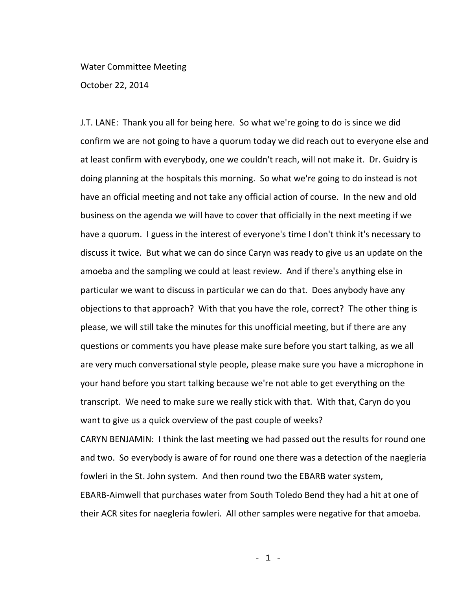## Water Committee Meeting

October 22, 2014

J.T. LANE: Thank you all for being here. So what we're going to do is since we did confirm we are not going to have a quorum today we did reach out to everyone else and at least confirm with everybody, one we couldn't reach, will not make it. Dr. Guidry is doing planning at the hospitals this morning. So what we're going to do instead is not have an official meeting and not take any official action of course. In the new and old business on the agenda we will have to cover that officially in the next meeting if we have a quorum. I guess in the interest of everyone's time I don't think it's necessary to discuss it twice. But what we can do since Caryn was ready to give us an update on the amoeba and the sampling we could at least review. And if there's anything else in particular we want to discuss in particular we can do that. Does anybody have any objections to that approach? With that you have the role, correct? The other thing is please, we will still take the minutes for this unofficial meeting, but if there are any questions or comments you have please make sure before you start talking, as we all are very much conversational style people, please make sure you have a microphone in your hand before you start talking because we're not able to get everything on the transcript. We need to make sure we really stick with that. With that, Caryn do you want to give us a quick overview of the past couple of weeks?

CARYN BENJAMIN: I think the last meeting we had passed out the results for round one and two. So everybody is aware of for round one there was a detection of the naegleria fowleri in the St. John system. And then round two the EBARB water system, EBARB-Aimwell that purchases water from South Toledo Bend they had a hit at one of their ACR sites for naegleria fowleri. All other samples were negative for that amoeba.

- 1 -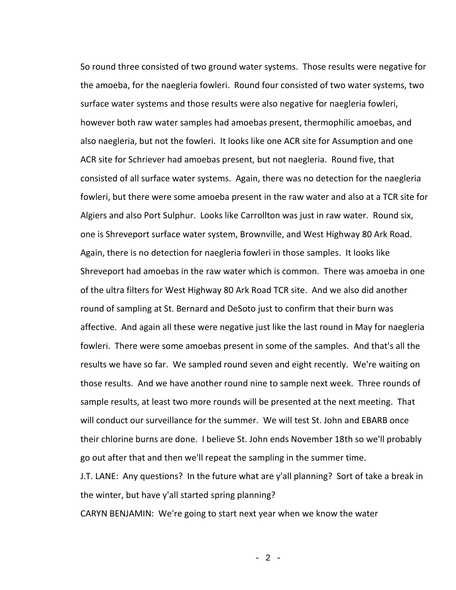So round three consisted of two ground water systems. Those results were negative for the amoeba, for the naegleria fowleri. Round four consisted of two water systems, two surface water systems and those results were also negative for naegleria fowleri, however both raw water samples had amoebas present, thermophilic amoebas, and also naegleria, but not the fowleri. It looks like one ACR site for Assumption and one ACR site for Schriever had amoebas present, but not naegleria. Round five, that consisted of all surface water systems. Again, there was no detection for the naegleria fowleri, but there were some amoeba present in the raw water and also at a TCR site for Algiers and also Port Sulphur. Looks like Carrollton was just in raw water. Round six, one is Shreveport surface water system, Brownville, and West Highway 80 Ark Road. Again, there is no detection for naegleria fowleri in those samples. It looks like Shreveport had amoebas in the raw water which is common. There was amoeba in one of the ultra filters for West Highway 80 Ark Road TCR site. And we also did another round of sampling at St. Bernard and DeSoto just to confirm that their burn was affective. And again all these were negative just like the last round in May for naegleria fowleri. There were some amoebas present in some of the samples. And that's all the results we have so far. We sampled round seven and eight recently. We're waiting on those results. And we have another round nine to sample next week. Three rounds of sample results, at least two more rounds will be presented at the next meeting. That will conduct our surveillance for the summer. We will test St. John and EBARB once their chlorine burns are done. I believe St. John ends November 18th so we'll probably go out after that and then we'll repeat the sampling in the summer time.

J.T. LANE: Any questions? In the future what are y'all planning? Sort of take a break in the winter, but have y'all started spring planning?

CARYN BENJAMIN: We're going to start next year when we know the water

- 2 -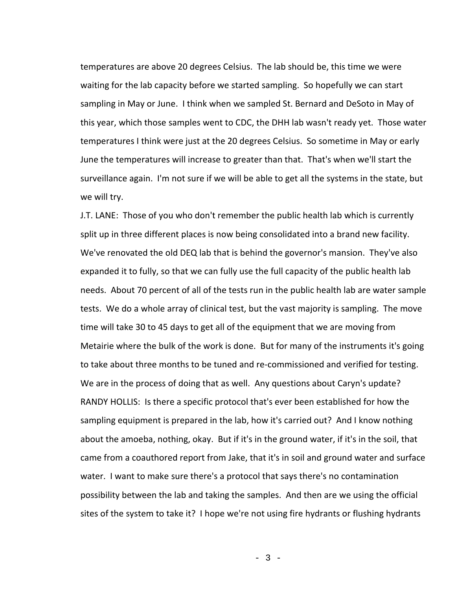temperatures are above 20 degrees Celsius. The lab should be, this time we were waiting for the lab capacity before we started sampling. So hopefully we can start sampling in May or June. I think when we sampled St. Bernard and DeSoto in May of this year, which those samples went to CDC, the DHH lab wasn't ready yet. Those water temperatures I think were just at the 20 degrees Celsius. So sometime in May or early June the temperatures will increase to greater than that. That's when we'll start the surveillance again. I'm not sure if we will be able to get all the systems in the state, but we will try.

J.T. LANE: Those of you who don't remember the public health lab which is currently split up in three different places is now being consolidated into a brand new facility. We've renovated the old DEQ lab that is behind the governor's mansion. They've also expanded it to fully, so that we can fully use the full capacity of the public health lab needs. About 70 percent of all of the tests run in the public health lab are water sample tests. We do a whole array of clinical test, but the vast majority is sampling. The move time will take 30 to 45 days to get all of the equipment that we are moving from Metairie where the bulk of the work is done. But for many of the instruments it's going to take about three months to be tuned and re-commissioned and verified for testing. We are in the process of doing that as well. Any questions about Caryn's update? RANDY HOLLIS: Is there a specific protocol that's ever been established for how the sampling equipment is prepared in the lab, how it's carried out? And I know nothing about the amoeba, nothing, okay. But if it's in the ground water, if it's in the soil, that came from a coauthored report from Jake, that it's in soil and ground water and surface water. I want to make sure there's a protocol that says there's no contamination possibility between the lab and taking the samples. And then are we using the official sites of the system to take it? I hope we're not using fire hydrants or flushing hydrants

- 3 -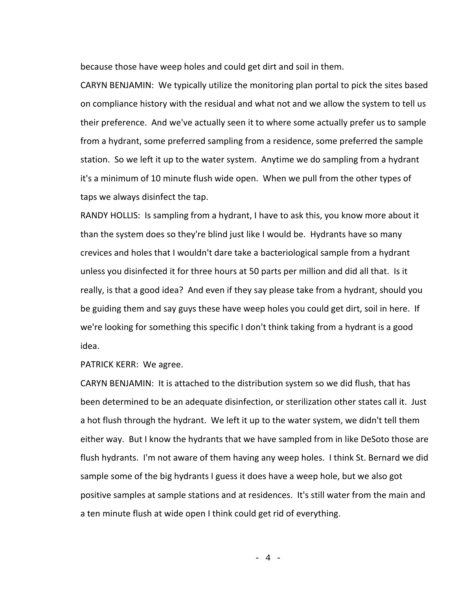because those have weep holes and could get dirt and soil in them.

CARYN BENJAMIN: We typically utilize the monitoring plan portal to pick the sites based on compliance history with the residual and what not and we allow the system to tell us their preference. And we've actually seen it to where some actually prefer us to sample from a hydrant, some preferred sampling from a residence, some preferred the sample station. So we left it up to the water system. Anytime we do sampling from a hydrant it's a minimum of 10 minute flush wide open. When we pull from the other types of taps we always disinfect the tap.

RANDY HOLLIS: Is sampling from a hydrant, I have to ask this, you know more about it than the system does so they're blind just like I would be. Hydrants have so many crevices and holes that I wouldn't dare take a bacteriological sample from a hydrant unless you disinfected it for three hours at 50 parts per million and did all that. Is it really, is that a good idea? And even if they say please take from a hydrant, should you be guiding them and say guys these have weep holes you could get dirt, soil in here. If we're looking for something this specific I don't think taking from a hydrant is a good idea.

PATRICK KERR: We agree.

CARYN BENJAMIN: It is attached to the distribution system so we did flush, that has been determined to be an adequate disinfection, or sterilization other states call it. Just a hot flush through the hydrant. We left it up to the water system, we didn't tell them either way. But I know the hydrants that we have sampled from in like DeSoto those are flush hydrants. I'm not aware of them having any weep holes. I think St. Bernard we did sample some of the big hydrants I guess it does have a weep hole, but we also got positive samples at sample stations and at residences. It's still water from the main and a ten minute flush at wide open I think could get rid of everything.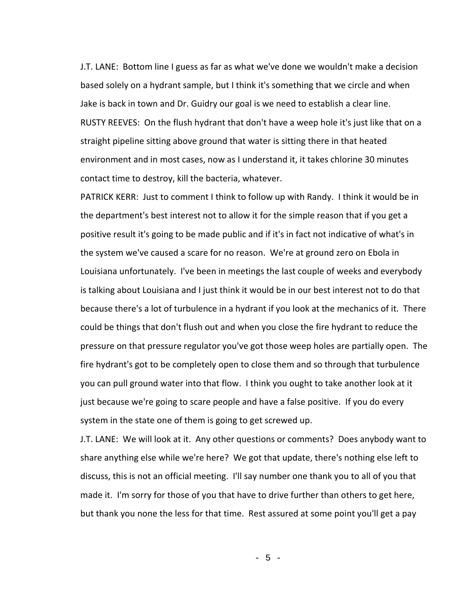J.T. LANE: Bottom line I guess as far as what we've done we wouldn't make a decision based solely on a hydrant sample, but I think it's something that we circle and when Jake is back in town and Dr. Guidry our goal is we need to establish a clear line. RUSTY REEVES: On the flush hydrant that don't have a weep hole it's just like that on a straight pipeline sitting above ground that water is sitting there in that heated environment and in most cases, now as I understand it, it takes chlorine 30 minutes contact time to destroy, kill the bacteria, whatever.

PATRICK KERR: Just to comment I think to follow up with Randy. I think it would be in the department's best interest not to allow it for the simple reason that if you get a positive result it's going to be made public and if it's in fact not indicative of what's in the system we've caused a scare for no reason. We're at ground zero on Ebola in Louisiana unfortunately. I've been in meetings the last couple of weeks and everybody is talking about Louisiana and I just think it would be in our best interest not to do that because there's a lot of turbulence in a hydrant if you look at the mechanics of it. There could be things that don't flush out and when you close the fire hydrant to reduce the pressure on that pressure regulator you've got those weep holes are partially open. The fire hydrant's got to be completely open to close them and so through that turbulence you can pull ground water into that flow. I think you ought to take another look at it just because we're going to scare people and have a false positive. If you do every system in the state one of them is going to get screwed up.

J.T. LANE: We will look at it. Any other questions or comments? Does anybody want to share anything else while we're here? We got that update, there's nothing else left to discuss, this is not an official meeting. I'll say number one thank you to all of you that made it. I'm sorry for those of you that have to drive further than others to get here, but thank you none the less for that time. Rest assured at some point you'll get a pay

- 5 -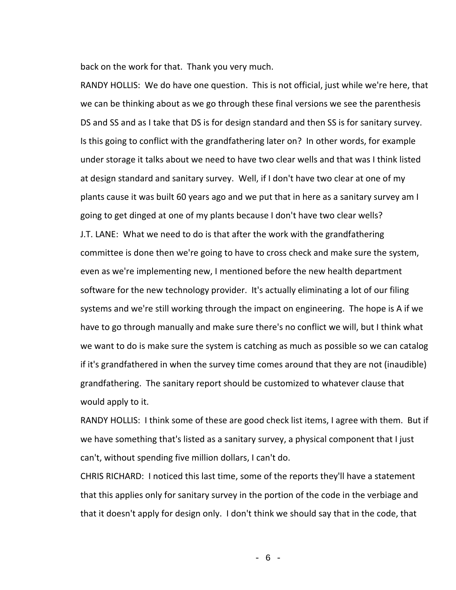back on the work for that. Thank you very much.

RANDY HOLLIS: We do have one question. This is not official, just while we're here, that we can be thinking about as we go through these final versions we see the parenthesis DS and SS and as I take that DS is for design standard and then SS is for sanitary survey. Is this going to conflict with the grandfathering later on? In other words, for example under storage it talks about we need to have two clear wells and that was I think listed at design standard and sanitary survey. Well, if I don't have two clear at one of my plants cause it was built 60 years ago and we put that in here as a sanitary survey am I going to get dinged at one of my plants because I don't have two clear wells? J.T. LANE: What we need to do is that after the work with the grandfathering committee is done then we're going to have to cross check and make sure the system, even as we're implementing new, I mentioned before the new health department software for the new technology provider. It's actually eliminating a lot of our filing systems and we're still working through the impact on engineering. The hope is A if we have to go through manually and make sure there's no conflict we will, but I think what we want to do is make sure the system is catching as much as possible so we can catalog if it's grandfathered in when the survey time comes around that they are not (inaudible) grandfathering. The sanitary report should be customized to whatever clause that would apply to it.

RANDY HOLLIS: I think some of these are good check list items, I agree with them. But if we have something that's listed as a sanitary survey, a physical component that I just can't, without spending five million dollars, I can't do.

CHRIS RICHARD: I noticed this last time, some of the reports they'll have a statement that this applies only for sanitary survey in the portion of the code in the verbiage and that it doesn't apply for design only. I don't think we should say that in the code, that

- 6 -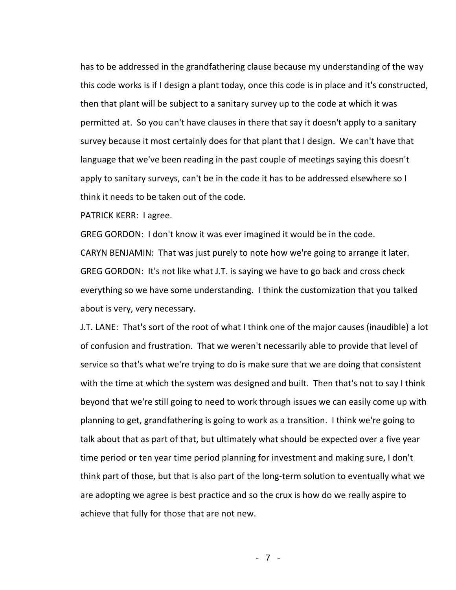has to be addressed in the grandfathering clause because my understanding of the way this code works is if I design a plant today, once this code is in place and it's constructed, then that plant will be subject to a sanitary survey up to the code at which it was permitted at. So you can't have clauses in there that say it doesn't apply to a sanitary survey because it most certainly does for that plant that I design. We can't have that language that we've been reading in the past couple of meetings saying this doesn't apply to sanitary surveys, can't be in the code it has to be addressed elsewhere so I think it needs to be taken out of the code.

PATRICK KERR: I agree.

GREG GORDON: I don't know it was ever imagined it would be in the code. CARYN BENJAMIN: That was just purely to note how we're going to arrange it later. GREG GORDON: It's not like what J.T. is saying we have to go back and cross check everything so we have some understanding. I think the customization that you talked about is very, very necessary.

J.T. LANE: That's sort of the root of what I think one of the major causes (inaudible) a lot of confusion and frustration. That we weren't necessarily able to provide that level of service so that's what we're trying to do is make sure that we are doing that consistent with the time at which the system was designed and built. Then that's not to say I think beyond that we're still going to need to work through issues we can easily come up with planning to get, grandfathering is going to work as a transition. I think we're going to talk about that as part of that, but ultimately what should be expected over a five year time period or ten year time period planning for investment and making sure, I don't think part of those, but that is also part of the long-term solution to eventually what we are adopting we agree is best practice and so the crux is how do we really aspire to achieve that fully for those that are not new.